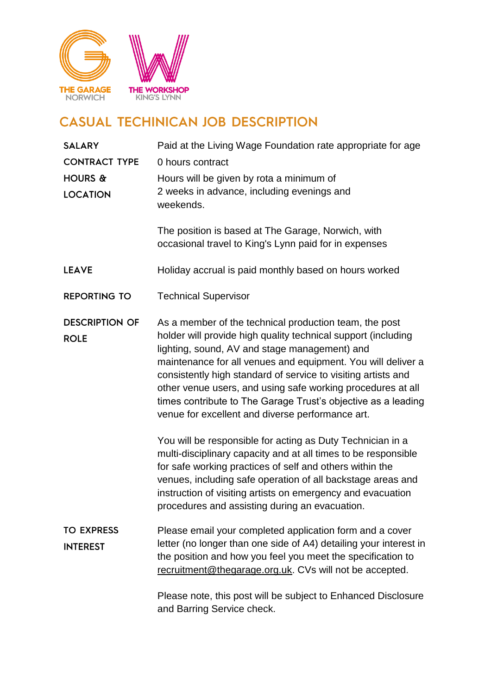

## **CASUAL TECHINICAN JOB DESCRIPTION**

| <b>SALARY</b><br><b>CONTRACT TYPE</b><br>HOURS & | Paid at the Living Wage Foundation rate appropriate for age<br>0 hours contract<br>Hours will be given by rota a minimum of                                                                                                                                                                                                                                                                                                                                                                                                                                                                                                                                                                                                                                                                                                                                               |
|--------------------------------------------------|---------------------------------------------------------------------------------------------------------------------------------------------------------------------------------------------------------------------------------------------------------------------------------------------------------------------------------------------------------------------------------------------------------------------------------------------------------------------------------------------------------------------------------------------------------------------------------------------------------------------------------------------------------------------------------------------------------------------------------------------------------------------------------------------------------------------------------------------------------------------------|
| <b>LOCATION</b>                                  | 2 weeks in advance, including evenings and<br>weekends.<br>The position is based at The Garage, Norwich, with                                                                                                                                                                                                                                                                                                                                                                                                                                                                                                                                                                                                                                                                                                                                                             |
|                                                  | occasional travel to King's Lynn paid for in expenses                                                                                                                                                                                                                                                                                                                                                                                                                                                                                                                                                                                                                                                                                                                                                                                                                     |
| <b>LEAVE</b>                                     | Holiday accrual is paid monthly based on hours worked                                                                                                                                                                                                                                                                                                                                                                                                                                                                                                                                                                                                                                                                                                                                                                                                                     |
| <b>REPORTING TO</b>                              | <b>Technical Supervisor</b>                                                                                                                                                                                                                                                                                                                                                                                                                                                                                                                                                                                                                                                                                                                                                                                                                                               |
| <b>DESCRIPTION OF</b><br><b>ROLE</b>             | As a member of the technical production team, the post<br>holder will provide high quality technical support (including<br>lighting, sound, AV and stage management) and<br>maintenance for all venues and equipment. You will deliver a<br>consistently high standard of service to visiting artists and<br>other venue users, and using safe working procedures at all<br>times contribute to The Garage Trust's objective as a leading<br>venue for excellent and diverse performance art.<br>You will be responsible for acting as Duty Technician in a<br>multi-disciplinary capacity and at all times to be responsible<br>for safe working practices of self and others within the<br>venues, including safe operation of all backstage areas and<br>instruction of visiting artists on emergency and evacuation<br>procedures and assisting during an evacuation. |
| <b>TO EXPRESS</b><br><b>INTEREST</b>             | Please email your completed application form and a cover<br>letter (no longer than one side of A4) detailing your interest in<br>the position and how you feel you meet the specification to<br>recruitment@thegarage.org.uk. CVs will not be accepted.                                                                                                                                                                                                                                                                                                                                                                                                                                                                                                                                                                                                                   |
|                                                  | Please note, this post will be subject to Enhanced Disclosure<br>and Barring Service check.                                                                                                                                                                                                                                                                                                                                                                                                                                                                                                                                                                                                                                                                                                                                                                               |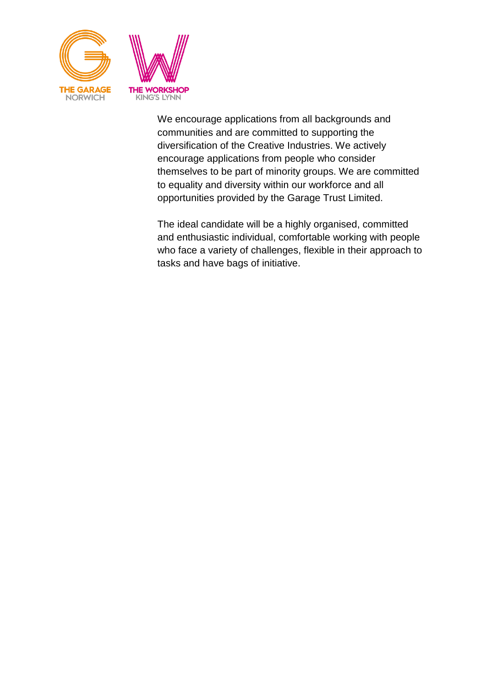

We encourage applications from all backgrounds and communities and are committed to supporting the diversification of the Creative Industries. We actively encourage applications from people who consider themselves to be part of minority groups. We are committed to equality and diversity within our workforce and all opportunities provided by the Garage Trust Limited.

The ideal candidate will be a highly organised, committed and enthusiastic individual, comfortable working with people who face a variety of challenges, flexible in their approach to tasks and have bags of initiative.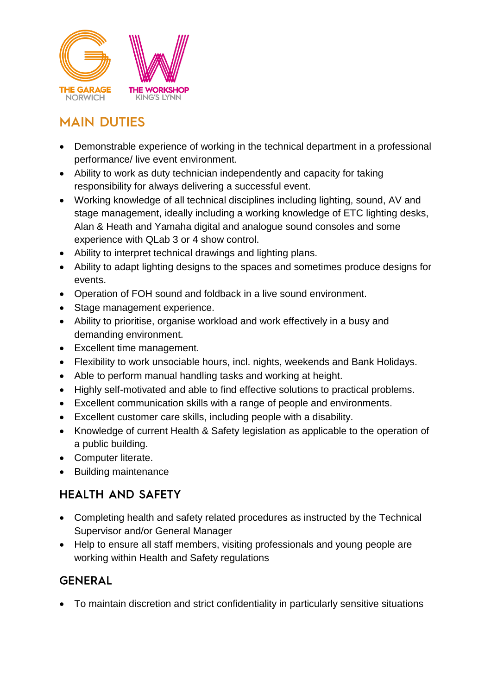

## **MAIN DUTIES**

- Demonstrable experience of working in the technical department in a professional performance/ live event environment.
- Ability to work as duty technician independently and capacity for taking responsibility for always delivering a successful event.
- Working knowledge of all technical disciplines including lighting, sound, AV and stage management, ideally including a working knowledge of ETC lighting desks, Alan & Heath and Yamaha digital and analogue sound consoles and some experience with QLab 3 or 4 show control.
- Ability to interpret technical drawings and lighting plans.
- Ability to adapt lighting designs to the spaces and sometimes produce designs for events.
- Operation of FOH sound and foldback in a live sound environment.
- Stage management experience.
- Ability to prioritise, organise workload and work effectively in a busy and demanding environment.
- Excellent time management.
- Flexibility to work unsociable hours, incl. nights, weekends and Bank Holidays.
- Able to perform manual handling tasks and working at height.
- Highly self-motivated and able to find effective solutions to practical problems.
- Excellent communication skills with a range of people and environments.
- Excellent customer care skills, including people with a disability.
- Knowledge of current Health & Safety legislation as applicable to the operation of a public building.
- Computer literate.
- Building maintenance

### **HEALTH AND SAFETY**

- Completing health and safety related procedures as instructed by the Technical Supervisor and/or General Manager
- Help to ensure all staff members, visiting professionals and young people are working within Health and Safety regulations

#### **GENERAL**

To maintain discretion and strict confidentiality in particularly sensitive situations